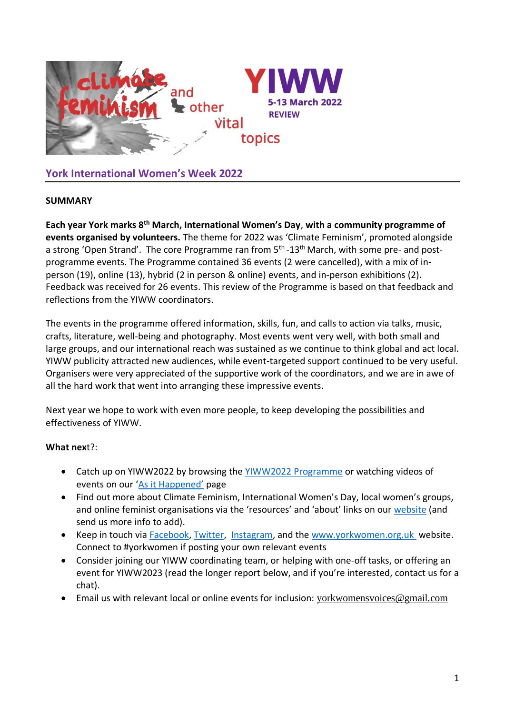

**York International Women's Week 2022**

## **SUMMARY**

**Each year York marks 8th March, International Women's Day**, **with a community programme of events organised by volunteers.** The theme for 2022 was 'Climate Feminism', promoted alongside a strong 'Open Strand'. The core Programme ran from 5<sup>th</sup> -13<sup>th</sup> March, with some pre- and postprogramme events. The Programme contained 36 events (2 were cancelled), with a mix of inperson (19), online (13), hybrid (2 in person & online) events, and in-person exhibitions (2). Feedback was received for 26 events. This review of the Programme is based on that feedback and reflections from the YIWW coordinators.

The events in the programme offered information, skills, fun, and calls to action via talks, music, crafts, literature, well-being and photography. Most events went very well, with both small and large groups, and our international reach was sustained as we continue to think global and act local. YIWW publicity attracted new audiences, while event-targeted support continued to be very useful. Organisers were very appreciated of the supportive work of the coordinators, and we are in awe of all the hard work that went into arranging these impressive events.

Next year we hope to work with even more people, to keep developing the possibilities and effectiveness of YIWW.

## **What nex**t?:

- Catch up on YIWW2022 by browsing the [YIWW2022 Programme](https://yorkinternationalwomensweek.files.wordpress.com/2022/04/yiww-2022-programme.pdf) or watching videos of events on our ['As it Happened'](https://yorkinternationalwomensweek.wordpress.com/as-it-happens-yiww-2022/) page
- Find out more about Climate Feminism, International Women's Day, local women's groups, and online feminist organisations via the 'resources' and 'about' links on our [website](https://yorkinternationalwomensweek.wordpress.com/) (and send us more info to add).
- Keep in touch via [Facebook,](https://www.facebook.com/YorkInternationalWomensWeek/) [Twitter,](https://twitter.com/YorkWomen) [Instagram,](https://www.instagram.com/yorkwomen/) and the [www.yorkwomen.org.uk](http://www.yorkwomen.org.uk/) website. Connect to #yorkwomen if posting your own relevant events
- Consider joining our YIWW coordinating team, or helping with one-off tasks, or offering an event for YIWW2023 (read the longer report below, and if you're interested, contact us for a chat).
- Email us with relevant local or online events for inclusion: [yorkwomensvoices@gmail.com](mailto:yorkwomensvoices@gmail.com)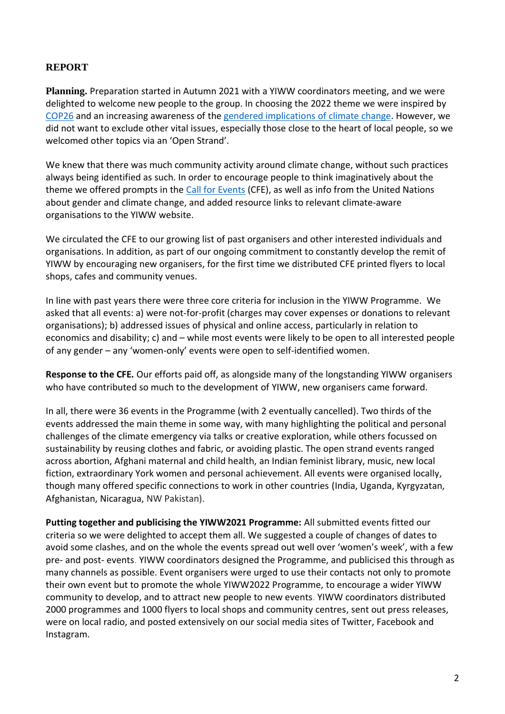# **REPORT**

**Planning.** Preparation started in Autumn 2021 with a YIWW coordinators meeting, and we were delighted to welcome new people to the group. In choosing the 2022 theme we were inspired by [COP26](https://ukcop26.org/) and an increasing awareness of th[e gendered implications of](https://unfccc.int/topics/gender/events-meetings/gender-day-other-events-at-cops/gender-women-at-cop-26) climate change. However, we did not want to exclude other vital issues, especially those close to the heart of local people, so we welcomed other topics via an 'Open Strand'.

We knew that there was much community activity around climate change, without such practices always being identified as such. In order to encourage people to think imaginatively about the theme we offered prompts in the [Call for Events](https://yorkinternationalwomensweek.wordpress.com/?page_id=2500) (CFE), as well as info from the United Nations about gender and climate change, and added resource links to relevant climate-aware organisations to the YIWW website.

We circulated the CFE to our growing list of past organisers and other interested individuals and organisations. In addition, as part of our ongoing commitment to constantly develop the remit of YIWW by encouraging new organisers, for the first time we distributed CFE printed flyers to local shops, cafes and community venues.

In line with past years there were three core criteria for inclusion in the YIWW Programme. We asked that all events: a) were not-for-profit (charges may cover expenses or donations to relevant organisations); b) addressed issues of physical and online access, particularly in relation to economics and disability; c) and – while most events were likely to be open to all interested people of any gender – any 'women-only' events were open to self-identified women.

**Response to the CFE.** Our efforts paid off, as alongside many of the longstanding YIWW organisers who have contributed so much to the development of YIWW, new organisers came forward.

In all, there were 36 events in the Programme (with 2 eventually cancelled). Two thirds of the events addressed the main theme in some way, with many highlighting the political and personal challenges of the climate emergency via talks or creative exploration, while others focussed on sustainability by reusing clothes and fabric, or avoiding plastic. The open strand events ranged across abortion, Afghani maternal and child health, an Indian feminist library, music, new local fiction, extraordinary York women and personal achievement. All events were organised locally, though many offered specific connections to work in other countries (India, Uganda, Kyrgyzatan, Afghanistan, Nicaragua, NW Pakistan).

**Putting together and publicising the YIWW2021 Programme:** All submitted events fitted our criteria so we were delighted to accept them all. We suggested a couple of changes of dates to avoid some clashes, and on the whole the events spread out well over 'women's week', with a few pre- and post- events. YIWW coordinators designed the Programme, and publicised this through as many channels as possible. Event organisers were urged to use their contacts not only to promote their own event but to promote the whole YIWW2022 Programme, to encourage a wider YIWW community to develop, and to attract new people to new events. YIWW coordinators distributed 2000 programmes and 1000 flyers to local shops and community centres, sent out press releases, were on local radio, and posted extensively on our social media sites of Twitter, Facebook and Instagram.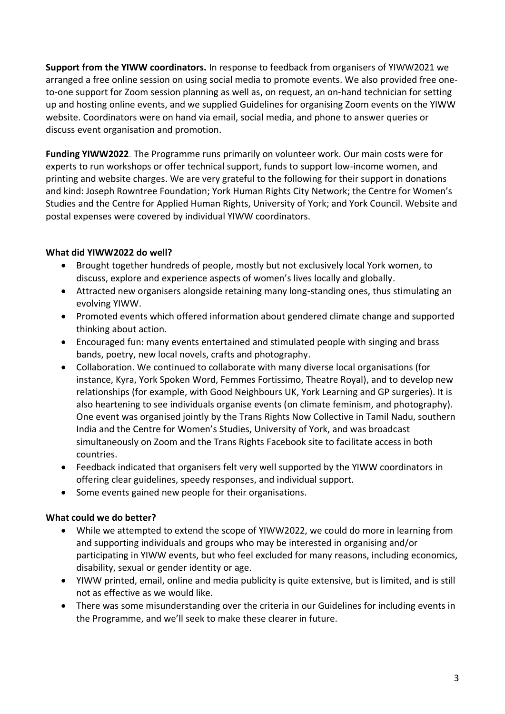**Support from the YIWW coordinators.** In response to feedback from organisers of YIWW2021 we arranged a free online session on using social media to promote events. We also provided free oneto-one support for Zoom session planning as well as, on request, an on-hand technician for setting up and hosting online events, and we supplied Guidelines for organising Zoom events on the YIWW website. Coordinators were on hand via email, social media, and phone to answer queries or discuss event organisation and promotion.

**Funding YIWW2022**. The Programme runs primarily on volunteer work. Our main costs were for experts to run workshops or offer technical support, funds to support low-income women, and printing and website charges. We are very grateful to the following for their support in donations and kind: Joseph Rowntree Foundation; York Human Rights City Network; the Centre for Women's Studies and the Centre for Applied Human Rights, University of York; and York Council. Website and postal expenses were covered by individual YIWW coordinators.

## **What did YIWW2022 do well?**

- Brought together hundreds of people, mostly but not exclusively local York women, to discuss, explore and experience aspects of women's lives locally and globally.
- Attracted new organisers alongside retaining many long-standing ones, thus stimulating an evolving YIWW.
- Promoted events which offered information about gendered climate change and supported thinking about action.
- Encouraged fun: many events entertained and stimulated people with singing and brass bands, poetry, new local novels, crafts and photography.
- Collaboration. We continued to collaborate with many diverse local organisations (for instance, Kyra, York Spoken Word, Femmes Fortissimo, Theatre Royal), and to develop new relationships (for example, with Good Neighbours UK, York Learning and GP surgeries). It is also heartening to see individuals organise events (on climate feminism, and photography). One event was organised jointly by the Trans Rights Now Collective in Tamil Nadu, southern India and the Centre for Women's Studies, University of York, and was broadcast simultaneously on Zoom and the Trans Rights Facebook site to facilitate access in both countries.
- Feedback indicated that organisers felt very well supported by the YIWW coordinators in offering clear guidelines, speedy responses, and individual support.
- Some events gained new people for their organisations.

## **What could we do better?**

- While we attempted to extend the scope of YIWW2022, we could do more in learning from and supporting individuals and groups who may be interested in organising and/or participating in YIWW events, but who feel excluded for many reasons, including economics, disability, sexual or gender identity or age.
- YIWW printed, email, online and media publicity is quite extensive, but is limited, and is still not as effective as we would like.
- There was some misunderstanding over the criteria in our Guidelines for including events in the Programme, and we'll seek to make these clearer in future.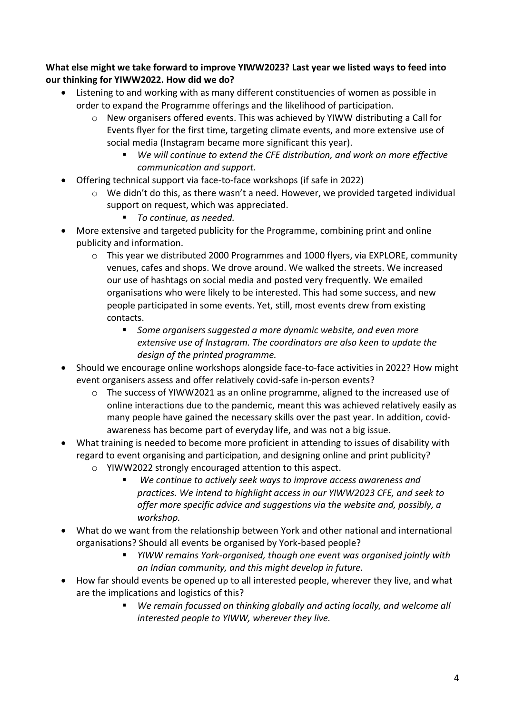**What else might we take forward to improve YIWW2023? Last year we listed ways to feed into our thinking for YIWW2022. How did we do?** 

- Listening to and working with as many different constituencies of women as possible in order to expand the Programme offerings and the likelihood of participation.
	- $\circ$  New organisers offered events. This was achieved by YIWW distributing a Call for Events flyer for the first time, targeting climate events, and more extensive use of social media (Instagram became more significant this year).
		- *We will continue to extend the CFE distribution, and work on more effective communication and support.*
- Offering technical support via face-to-face workshops (if safe in 2022)
	- o We didn't do this, as there wasn't a need. However, we provided targeted individual support on request, which was appreciated.
		- *To continue, as needed.*
- More extensive and targeted publicity for the Programme, combining print and online publicity and information.
	- $\circ$  This year we distributed 2000 Programmes and 1000 flyers, via EXPLORE, community venues, cafes and shops. We drove around. We walked the streets. We increased our use of hashtags on social media and posted very frequently. We emailed organisations who were likely to be interested. This had some success, and new people participated in some events. Yet, still, most events drew from existing contacts.
		- *Some organisers suggested a more dynamic website, and even more extensive use of Instagram. The coordinators are also keen to update the design of the printed programme.*
- Should we encourage online workshops alongside face-to-face activities in 2022? How might event organisers assess and offer relatively covid-safe in-person events?
	- o The success of YIWW2021 as an online programme, aligned to the increased use of online interactions due to the pandemic, meant this was achieved relatively easily as many people have gained the necessary skills over the past year. In addition, covidawareness has become part of everyday life, and was not a big issue.
- What training is needed to become more proficient in attending to issues of disability with regard to event organising and participation, and designing online and print publicity?
	- o YIWW2022 strongly encouraged attention to this aspect.
		- We continue to actively seek ways to improve access awareness and *practices. We intend to highlight access in our YIWW2023 CFE, and seek to offer more specific advice and suggestions via the website and, possibly, a workshop.*
- What do we want from the relationship between York and other national and international organisations? Should all events be organised by York-based people?
	- *YIWW remains York-organised, though one event was organised jointly with an Indian community, and this might develop in future.*
- How far should events be opened up to all interested people, wherever they live, and what are the implications and logistics of this?
	- We remain focussed on thinking globally and acting locally, and welcome all *interested people to YIWW, wherever they live.*